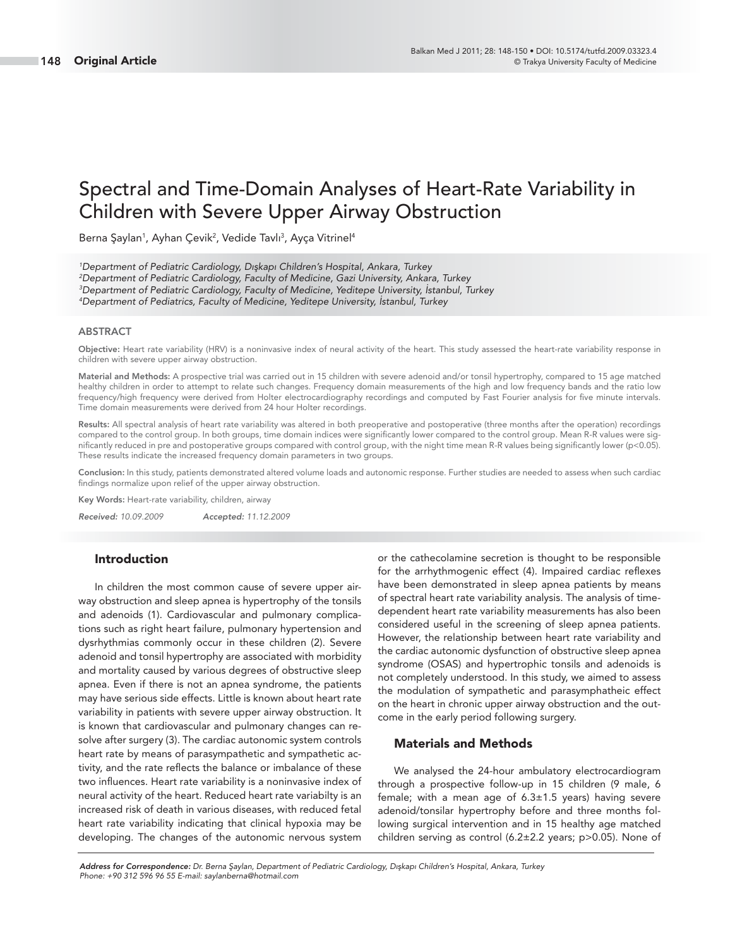# Spectral and Time-Domain Analyses of Heart-Rate Variability in Children with Severe Upper Airway Obstruction

Berna Şaylan<sup>1</sup>, Ayhan Çevik<sup>2</sup>, Vedide Tavlı<sup>3</sup>, Ayça Vitrinel<sup>4</sup>

 Department of Pediatric Cardiology, Dışkapı Children's Hospital, Ankara, Turkey Department of Pediatric Cardiology, Faculty of Medicine, Gazi University, Ankara, Turkey Department of Pediatric Cardiology, Faculty of Medicine, Yeditepe University, İstanbul, Turkey Department of Pediatrics, Faculty of Medicine, Yeditepe University, İstanbul, Turkey

#### **ABSTRACT**

**Objective:** Heart rate variability (HRV) is a noninvasive index of neural activity of the heart. This study assessed the heart-rate variability response in children with severe upper airway obstruction.

**Material and Methods:** A prospective trial was carried out in 15 children with severe adenoid and/or tonsil hypertrophy, compared to 15 age matched healthy children in order to attempt to relate such changes. Frequency domain measurements of the high and low frequency bands and the ratio low frequency/high frequency were derived from Holter electrocardiography recordings and computed by Fast Fourier analysis for five minute intervals. Time domain measurements were derived from 24 hour Holter recordings.

**Results:** All spectral analysis of heart rate variability was altered in both preoperative and postoperative (three months after the operation) recordings compared to the control group. In both groups, time domain indices were significantly lower compared to the control group. Mean R-R values were significantly reduced in pre and postoperative groups compared with control group, with the night time mean R-R values being significantly lower (p<0.05). These results indicate the increased frequency domain parameters in two groups.

**Conclusion:** In this study, patients demonstrated altered volume loads and autonomic response. Further studies are needed to assess when such cardiac findings normalize upon relief of the upper airway obstruction.

**Key Words:** Heart-rate variability, children, airway

*Received:* 10.09.2009 *Accepted:* 11.12.2009

#### **Introduction**

In children the most common cause of severe upper airway obstruction and sleep apnea is hypertrophy of the tonsils and adenoids (1). Cardiovascular and pulmonary complications such as right heart failure, pulmonary hypertension and dysrhythmias commonly occur in these children (2). Severe adenoid and tonsil hypertrophy are associated with morbidity and mortality caused by various degrees of obstructive sleep apnea. Even if there is not an apnea syndrome, the patients may have serious side effects. Little is known about heart rate variability in patients with severe upper airway obstruction. It is known that cardiovascular and pulmonary changes can resolve after surgery (3). The cardiac autonomic system controls heart rate by means of parasympathetic and sympathetic activity, and the rate reflects the balance or imbalance of these two influences. Heart rate variability is a noninvasive index of neural activity of the heart. Reduced heart rate variabilty is an increased risk of death in various diseases, with reduced fetal heart rate variability indicating that clinical hypoxia may be developing. The changes of the autonomic nervous system or the cathecolamine secretion is thought to be responsible for the arrhythmogenic effect (4). Impaired cardiac reflexes have been demonstrated in sleep apnea patients by means of spectral heart rate variability analysis. The analysis of timedependent heart rate variability measurements has also been considered useful in the screening of sleep apnea patients. However, the relationship between heart rate variability and the cardiac autonomic dysfunction of obstructive sleep apnea syndrome (OSAS) and hypertrophic tonsils and adenoids is not completely understood. In this study, we aimed to assess the modulation of sympathetic and parasymphatheic effect on the heart in chronic upper airway obstruction and the outcome in the early period following surgery.

## **Materials and Methods**

We analysed the 24-hour ambulatory electrocardiogram through a prospective follow-up in 15 children (9 male, 6 female; with a mean age of  $6.3 \pm 1.5$  years) having severe adenoid/tonsilar hypertrophy before and three months following surgical intervention and in 15 healthy age matched children serving as control (6.2±2.2 years; p>0.05). None of

*Address for Correspondence:* Dr. Berna Şaylan, Department of Pediatric Cardiology, Dışkapı Children's Hospital, Ankara, Turkey Phone: +90 312 596 96 55 E-mail: saylanberna@hotmail.com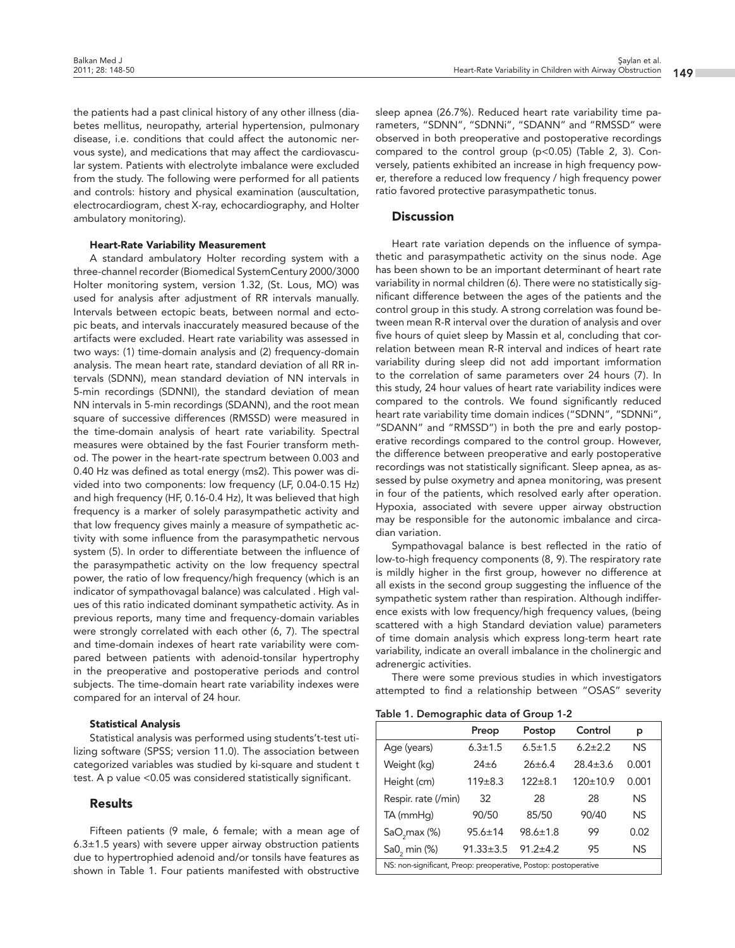the patients had a past clinical history of any other illness (diabetes mellitus, neuropathy, arterial hypertension, pulmonary disease, i.e. conditions that could affect the autonomic nervous syste), and medications that may affect the cardiovascular system. Patients with electrolyte imbalance were excluded from the study. The following were performed for all patients and controls: history and physical examination (auscultation, electrocardiogram, chest X-ray, echocardiography, and Holter ambulatory monitoring).

#### **Heart-Rate Variability Measurement**

A standard ambulatory Holter recording system with a three-channel recorder (Biomedical SystemCentury 2000/3000 Holter monitoring system, version 1.32, (St. Lous, MO) was used for analysis after adjustment of RR intervals manually. Intervals between ectopic beats, between normal and ectopic beats, and intervals inaccurately measured because of the artifacts were excluded. Heart rate variability was assessed in two ways: (1) time-domain analysis and (2) frequency-domain analysis. The mean heart rate, standard deviation of all RR intervals (SDNN), mean standard deviation of NN intervals in 5-min recordings (SDNNI), the standard deviation of mean NN intervals in 5-min recordings (SDANN), and the root mean square of successive differences (RMSSD) were measured in the time-domain analysis of heart rate variability. Spectral measures were obtained by the fast Fourier transform method. The power in the heart-rate spectrum between 0.003 and 0.40 Hz was defined as total energy (ms2). This power was divided into two components: low frequency (LF, 0.04-0.15 Hz) and high frequency (HF, 0.16-0.4 Hz), It was believed that high frequency is a marker of solely parasympathetic activity and that low frequency gives mainly a measure of sympathetic activity with some influence from the parasympathetic nervous system (5). In order to differentiate between the influence of the parasympathetic activity on the low frequency spectral power, the ratio of low frequency/high frequency (which is an indicator of sympathovagal balance) was calculated . High values of this ratio indicated dominant sympathetic activity. As in previous reports, many time and frequency-domain variables were strongly correlated with each other (6, 7). The spectral and time-domain indexes of heart rate variability were compared between patients with adenoid-tonsilar hypertrophy in the preoperative and postoperative periods and control subjects. The time-domain heart rate variability indexes were compared for an interval of 24 hour.

#### **Statistical Analysis**

Statistical analysis was performed using students't-test utilizing software (SPSS; version 11.0). The association between categorized variables was studied by ki-square and student t test. A p value <0.05 was considered statistically significant.

## **Results**

Fifteen patients (9 male, 6 female; with a mean age of 6.3±1.5 years) with severe upper airway obstruction patients due to hypertrophied adenoid and/or tonsils have features as shown in Table 1. Four patients manifested with obstructive sleep apnea (26.7%). Reduced heart rate variability time parameters, "SDNN", "SDNNi", "SDANN" and "RMSSD" were observed in both preoperative and postoperative recordings compared to the control group (p<0.05) (Table 2, 3). Conversely, patients exhibited an increase in high frequency power, therefore a reduced low frequency / high frequency power ratio favored protective parasympathetic tonus.

### **Discussion**

Heart rate variation depends on the influence of sympathetic and parasympathetic activity on the sinus node. Age has been shown to be an important determinant of heart rate variability in normal children (6). There were no statistically significant difference between the ages of the patients and the control group in this study. A strong correlation was found between mean R-R interval over the duration of analysis and over five hours of quiet sleep by Massin et al, concluding that correlation between mean R-R interval and indices of heart rate variability during sleep did not add important imformation to the correlation of same parameters over 24 hours (7). In this study, 24 hour values of heart rate variability indices were compared to the controls. We found significantly reduced heart rate variability time domain indices ("SDNN", "SDNNi", "SDANN" and "RMSSD") in both the pre and early postoperative recordings compared to the control group. However, the difference between preoperative and early postoperative recordings was not statistically significant. Sleep apnea, as assessed by pulse oxymetry and apnea monitoring, was present in four of the patients, which resolved early after operation. Hypoxia, associated with severe upper airway obstruction may be responsible for the autonomic imbalance and circadian variation.

Sympathovagal balance is best reflected in the ratio of low-to-high frequency components (8, 9). The respiratory rate is mildly higher in the first group, however no difference at all exists in the second group suggesting the influence of the sympathetic system rather than respiration. Although indifference exists with low frequency/high frequency values, (being scattered with a high Standard deviation value) parameters of time domain analysis which express long-term heart rate variability, indicate an overall imbalance in the cholinergic and adrenergic activities.

There were some previous studies in which investigators attempted to find a relationship between "OSAS" severity

| Table 1. Demographic data of Group 1-2 |  |  |  |  |  |  |
|----------------------------------------|--|--|--|--|--|--|
|----------------------------------------|--|--|--|--|--|--|

|                                                                 | Preop           | Postop         | Control        | р     |  |
|-----------------------------------------------------------------|-----------------|----------------|----------------|-------|--|
| Age (years)                                                     | $6.3 \pm 1.5$   | $6.5 \pm 1.5$  | $6.2 \pm 2.2$  | NS.   |  |
| Weight (kg)                                                     | $24 \pm 6$      | $26 \pm 6.4$   | $28.4 \pm 3.6$ | 0.001 |  |
| Height (cm)                                                     | 119±8.3         | $122 \pm 8.1$  | $120 \pm 10.9$ | 0.001 |  |
| Respir. rate (/min)                                             | 32              | 28             | 28             | NS.   |  |
| TA (mmHq)                                                       | 90/50           | 85/50          | 90/40          | NS.   |  |
| SaO <sub>2</sub> max (%)                                        | $95.6 \pm 14$   | $98.6 \pm 1.8$ | 99             | 0.02  |  |
| Sa0 <sub>2</sub> min (%)                                        | $91.33 \pm 3.5$ | $91.2 + 4.2$   | 95             | NS.   |  |
| NS: non-significant, Preop: preoperative, Postop: postoperative |                 |                |                |       |  |